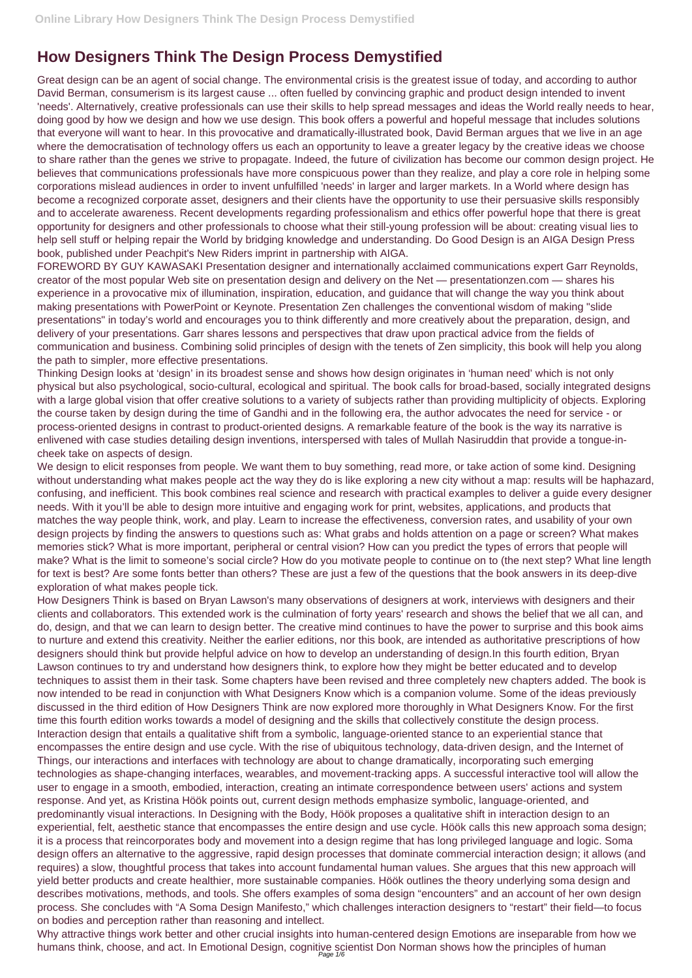## **How Designers Think The Design Process Demystified**

Great design can be an agent of social change. The environmental crisis is the greatest issue of today, and according to author David Berman, consumerism is its largest cause ... often fuelled by convincing graphic and product design intended to invent 'needs'. Alternatively, creative professionals can use their skills to help spread messages and ideas the World really needs to hear, doing good by how we design and how we use design. This book offers a powerful and hopeful message that includes solutions that everyone will want to hear. In this provocative and dramatically-illustrated book, David Berman argues that we live in an age where the democratisation of technology offers us each an opportunity to leave a greater legacy by the creative ideas we choose to share rather than the genes we strive to propagate. Indeed, the future of civilization has become our common design project. He believes that communications professionals have more conspicuous power than they realize, and play a core role in helping some corporations mislead audiences in order to invent unfulfilled 'needs' in larger and larger markets. In a World where design has become a recognized corporate asset, designers and their clients have the opportunity to use their persuasive skills responsibly and to accelerate awareness. Recent developments regarding professionalism and ethics offer powerful hope that there is great opportunity for designers and other professionals to choose what their still-young profession will be about: creating visual lies to help sell stuff or helping repair the World by bridging knowledge and understanding. Do Good Design is an AIGA Design Press book, published under Peachpit's New Riders imprint in partnership with AIGA.

FOREWORD BY GUY KAWASAKI Presentation designer and internationally acclaimed communications expert Garr Reynolds, creator of the most popular Web site on presentation design and delivery on the Net — presentationzen.com — shares his experience in a provocative mix of illumination, inspiration, education, and guidance that will change the way you think about making presentations with PowerPoint or Keynote. Presentation Zen challenges the conventional wisdom of making "slide presentations" in today's world and encourages you to think differently and more creatively about the preparation, design, and delivery of your presentations. Garr shares lessons and perspectives that draw upon practical advice from the fields of communication and business. Combining solid principles of design with the tenets of Zen simplicity, this book will help you along the path to simpler, more effective presentations.

We design to elicit responses from people. We want them to buy something, read more, or take action of some kind. Designing without understanding what makes people act the way they do is like exploring a new city without a map: results will be haphazard, confusing, and inefficient. This book combines real science and research with practical examples to deliver a guide every designer needs. With it you'll be able to design more intuitive and engaging work for print, websites, applications, and products that matches the way people think, work, and play. Learn to increase the effectiveness, conversion rates, and usability of your own design projects by finding the answers to questions such as: What grabs and holds attention on a page or screen? What makes memories stick? What is more important, peripheral or central vision? How can you predict the types of errors that people will make? What is the limit to someone's social circle? How do you motivate people to continue on to (the next step? What line length for text is best? Are some fonts better than others? These are just a few of the questions that the book answers in its deep-dive exploration of what makes people tick.

How Designers Think is based on Bryan Lawson's many observations of designers at work, interviews with designers and their clients and collaborators. This extended work is the culmination of forty years' research and shows the belief that we all can, and do, design, and that we can learn to design better. The creative mind continues to have the power to surprise and this book aims to nurture and extend this creativity. Neither the earlier editions, nor this book, are intended as authoritative prescriptions of how designers should think but provide helpful advice on how to develop an understanding of design.In this fourth edition, Bryan Lawson continues to try and understand how designers think, to explore how they might be better educated and to develop techniques to assist them in their task. Some chapters have been revised and three completely new chapters added. The book is now intended to be read in conjunction with What Designers Know which is a companion volume. Some of the ideas previously discussed in the third edition of How Designers Think are now explored more thoroughly in What Designers Know. For the first time this fourth edition works towards a model of designing and the skills that collectively constitute the design process. Interaction design that entails a qualitative shift from a symbolic, language-oriented stance to an experiential stance that encompasses the entire design and use cycle. With the rise of ubiquitous technology, data-driven design, and the Internet of Things, our interactions and interfaces with technology are about to change dramatically, incorporating such emerging technologies as shape-changing interfaces, wearables, and movement-tracking apps. A successful interactive tool will allow the user to engage in a smooth, embodied, interaction, creating an intimate correspondence between users' actions and system response. And yet, as Kristina Höök points out, current design methods emphasize symbolic, language-oriented, and predominantly visual interactions. In Designing with the Body, Höök proposes a qualitative shift in interaction design to an experiential, felt, aesthetic stance that encompasses the entire design and use cycle. Höök calls this new approach soma design; it is a process that reincorporates body and movement into a design regime that has long privileged language and logic. Soma design offers an alternative to the aggressive, rapid design processes that dominate commercial interaction design; it allows (and requires) a slow, thoughtful process that takes into account fundamental human values. She argues that this new approach will yield better products and create healthier, more sustainable companies. Höök outlines the theory underlying soma design and describes motivations, methods, and tools. She offers examples of soma design "encounters" and an account of her own design process. She concludes with "A Soma Design Manifesto," which challenges interaction designers to "restart" their field—to focus on bodies and perception rather than reasoning and intellect. Why attractive things work better and other crucial insights into human-centered design Emotions are inseparable from how we humans think, choose, and act. In Emotional Design, cognitive scientist Don Norman shows how the principles of human<br>Page 1/6

Thinking Design looks at 'design' in its broadest sense and shows how design originates in 'human need' which is not only physical but also psychological, socio-cultural, ecological and spiritual. The book calls for broad-based, socially integrated designs with a large global vision that offer creative solutions to a variety of subjects rather than providing multiplicity of objects. Exploring the course taken by design during the time of Gandhi and in the following era, the author advocates the need for service - or process-oriented designs in contrast to product-oriented designs. A remarkable feature of the book is the way its narrative is enlivened with case studies detailing design inventions, interspersed with tales of Mullah Nasiruddin that provide a tongue-incheek take on aspects of design.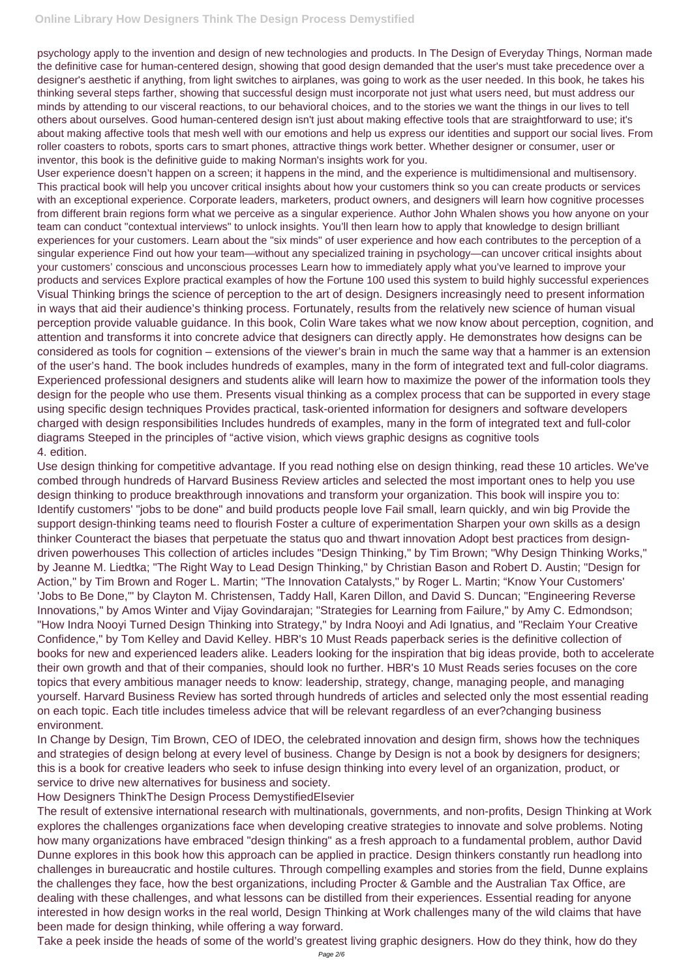psychology apply to the invention and design of new technologies and products. In The Design of Everyday Things, Norman made the definitive case for human-centered design, showing that good design demanded that the user's must take precedence over a designer's aesthetic if anything, from light switches to airplanes, was going to work as the user needed. In this book, he takes his thinking several steps farther, showing that successful design must incorporate not just what users need, but must address our minds by attending to our visceral reactions, to our behavioral choices, and to the stories we want the things in our lives to tell others about ourselves. Good human-centered design isn't just about making effective tools that are straightforward to use; it's about making affective tools that mesh well with our emotions and help us express our identities and support our social lives. From roller coasters to robots, sports cars to smart phones, attractive things work better. Whether designer or consumer, user or inventor, this book is the definitive guide to making Norman's insights work for you.

User experience doesn't happen on a screen; it happens in the mind, and the experience is multidimensional and multisensory. This practical book will help you uncover critical insights about how your customers think so you can create products or services with an exceptional experience. Corporate leaders, marketers, product owners, and designers will learn how cognitive processes from different brain regions form what we perceive as a singular experience. Author John Whalen shows you how anyone on your team can conduct "contextual interviews" to unlock insights. You'll then learn how to apply that knowledge to design brilliant experiences for your customers. Learn about the "six minds" of user experience and how each contributes to the perception of a singular experience Find out how your team—without any specialized training in psychology—can uncover critical insights about your customers' conscious and unconscious processes Learn how to immediately apply what you've learned to improve your products and services Explore practical examples of how the Fortune 100 used this system to build highly successful experiences Visual Thinking brings the science of perception to the art of design. Designers increasingly need to present information in ways that aid their audience's thinking process. Fortunately, results from the relatively new science of human visual perception provide valuable guidance. In this book, Colin Ware takes what we now know about perception, cognition, and attention and transforms it into concrete advice that designers can directly apply. He demonstrates how designs can be considered as tools for cognition – extensions of the viewer's brain in much the same way that a hammer is an extension of the user's hand. The book includes hundreds of examples, many in the form of integrated text and full-color diagrams. Experienced professional designers and students alike will learn how to maximize the power of the information tools they design for the people who use them. Presents visual thinking as a complex process that can be supported in every stage using specific design techniques Provides practical, task-oriented information for designers and software developers charged with design responsibilities Includes hundreds of examples, many in the form of integrated text and full-color diagrams Steeped in the principles of "active vision, which views graphic designs as cognitive tools 4. edition.

Use design thinking for competitive advantage. If you read nothing else on design thinking, read these 10 articles. We've combed through hundreds of Harvard Business Review articles and selected the most important ones to help you use design thinking to produce breakthrough innovations and transform your organization. This book will inspire you to: Identify customers' "jobs to be done" and build products people love Fail small, learn quickly, and win big Provide the support design-thinking teams need to flourish Foster a culture of experimentation Sharpen your own skills as a design thinker Counteract the biases that perpetuate the status quo and thwart innovation Adopt best practices from designdriven powerhouses This collection of articles includes "Design Thinking," by Tim Brown; "Why Design Thinking Works," by Jeanne M. Liedtka; "The Right Way to Lead Design Thinking," by Christian Bason and Robert D. Austin; "Design for Action," by Tim Brown and Roger L. Martin; "The Innovation Catalysts," by Roger L. Martin; "Know Your Customers' 'Jobs to Be Done,'" by Clayton M. Christensen, Taddy Hall, Karen Dillon, and David S. Duncan; "Engineering Reverse Innovations," by Amos Winter and Vijay Govindarajan; "Strategies for Learning from Failure," by Amy C. Edmondson; "How Indra Nooyi Turned Design Thinking into Strategy," by Indra Nooyi and Adi Ignatius, and "Reclaim Your Creative Confidence," by Tom Kelley and David Kelley. HBR's 10 Must Reads paperback series is the definitive collection of books for new and experienced leaders alike. Leaders looking for the inspiration that big ideas provide, both to accelerate their own growth and that of their companies, should look no further. HBR's 10 Must Reads series focuses on the core topics that every ambitious manager needs to know: leadership, strategy, change, managing people, and managing yourself. Harvard Business Review has sorted through hundreds of articles and selected only the most essential reading on each topic. Each title includes timeless advice that will be relevant regardless of an ever?changing business environment.

In Change by Design, Tim Brown, CEO of IDEO, the celebrated innovation and design firm, shows how the techniques and strategies of design belong at every level of business. Change by Design is not a book by designers for designers; this is a book for creative leaders who seek to infuse design thinking into every level of an organization, product, or service to drive new alternatives for business and society.

How Designers ThinkThe Design Process DemystifiedElsevier

The result of extensive international research with multinationals, governments, and non-profits, Design Thinking at Work explores the challenges organizations face when developing creative strategies to innovate and solve problems. Noting how many organizations have embraced "design thinking" as a fresh approach to a fundamental problem, author David Dunne explores in this book how this approach can be applied in practice. Design thinkers constantly run headlong into challenges in bureaucratic and hostile cultures. Through compelling examples and stories from the field, Dunne explains the challenges they face, how the best organizations, including Procter & Gamble and the Australian Tax Office, are dealing with these challenges, and what lessons can be distilled from their experiences. Essential reading for anyone interested in how design works in the real world, Design Thinking at Work challenges many of the wild claims that have been made for design thinking, while offering a way forward.

Take a peek inside the heads of some of the world's greatest living graphic designers. How do they think, how do they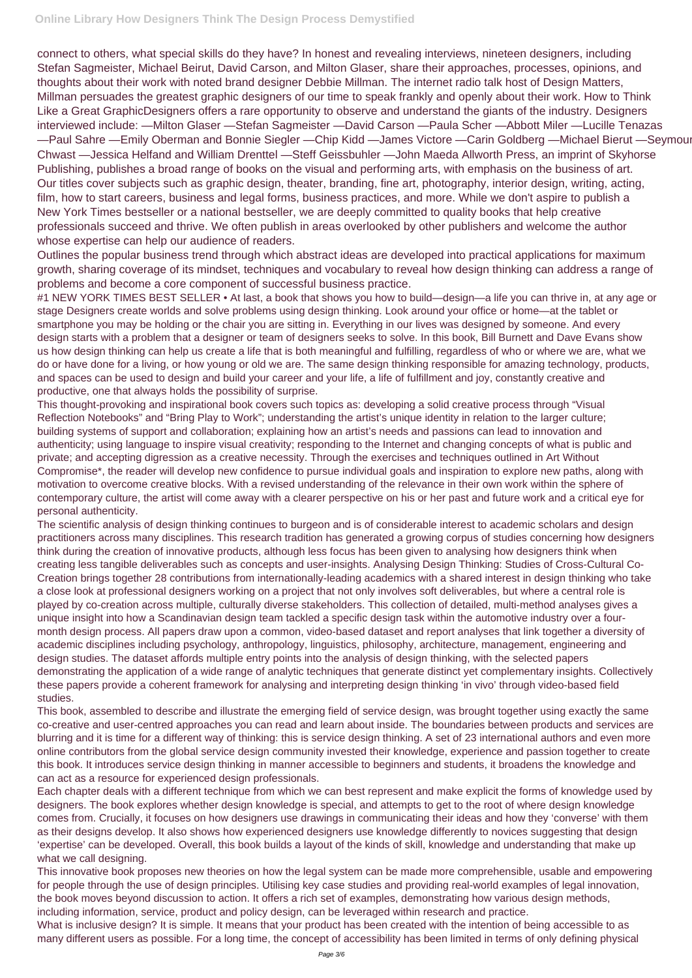connect to others, what special skills do they have? In honest and revealing interviews, nineteen designers, including Stefan Sagmeister, Michael Beirut, David Carson, and Milton Glaser, share their approaches, processes, opinions, and thoughts about their work with noted brand designer Debbie Millman. The internet radio talk host of Design Matters, Millman persuades the greatest graphic designers of our time to speak frankly and openly about their work. How to Think Like a Great GraphicDesigners offers a rare opportunity to observe and understand the giants of the industry. Designers interviewed include: —Milton Glaser —Stefan Sagmeister —David Carson —Paula Scher —Abbott Miler —Lucille Tenazas —Paul Sahre —Emily Oberman and Bonnie Siegler —Chip Kidd —James Victore —Carin Goldberg —Michael Bierut —Seymour Chwast —Jessica Helfand and William Drenttel —Steff Geissbuhler —John Maeda Allworth Press, an imprint of Skyhorse Publishing, publishes a broad range of books on the visual and performing arts, with emphasis on the business of art. Our titles cover subjects such as graphic design, theater, branding, fine art, photography, interior design, writing, acting, film, how to start careers, business and legal forms, business practices, and more. While we don't aspire to publish a New York Times bestseller or a national bestseller, we are deeply committed to quality books that help creative professionals succeed and thrive. We often publish in areas overlooked by other publishers and welcome the author whose expertise can help our audience of readers.

Outlines the popular business trend through which abstract ideas are developed into practical applications for maximum growth, sharing coverage of its mindset, techniques and vocabulary to reveal how design thinking can address a range of problems and become a core component of successful business practice.

#1 NEW YORK TIMES BEST SELLER • At last, a book that shows you how to build—design—a life you can thrive in, at any age or stage Designers create worlds and solve problems using design thinking. Look around your office or home—at the tablet or smartphone you may be holding or the chair you are sitting in. Everything in our lives was designed by someone. And every design starts with a problem that a designer or team of designers seeks to solve. In this book, Bill Burnett and Dave Evans show us how design thinking can help us create a life that is both meaningful and fulfilling, regardless of who or where we are, what we do or have done for a living, or how young or old we are. The same design thinking responsible for amazing technology, products, and spaces can be used to design and build your career and your life, a life of fulfillment and joy, constantly creative and productive, one that always holds the possibility of surprise.

This thought-provoking and inspirational book covers such topics as: developing a solid creative process through "Visual Reflection Notebooks" and "Bring Play to Work"; understanding the artist's unique identity in relation to the larger culture; building systems of support and collaboration; explaining how an artist's needs and passions can lead to innovation and authenticity; using language to inspire visual creativity; responding to the Internet and changing concepts of what is public and private; and accepting digression as a creative necessity. Through the exercises and techniques outlined in Art Without Compromise\*, the reader will develop new confidence to pursue individual goals and inspiration to explore new paths, along with motivation to overcome creative blocks. With a revised understanding of the relevance in their own work within the sphere of contemporary culture, the artist will come away with a clearer perspective on his or her past and future work and a critical eye for personal authenticity.

The scientific analysis of design thinking continues to burgeon and is of considerable interest to academic scholars and design practitioners across many disciplines. This research tradition has generated a growing corpus of studies concerning how designers think during the creation of innovative products, although less focus has been given to analysing how designers think when creating less tangible deliverables such as concepts and user-insights. Analysing Design Thinking: Studies of Cross-Cultural Co-Creation brings together 28 contributions from internationally-leading academics with a shared interest in design thinking who take a close look at professional designers working on a project that not only involves soft deliverables, but where a central role is played by co-creation across multiple, culturally diverse stakeholders. This collection of detailed, multi-method analyses gives a unique insight into how a Scandinavian design team tackled a specific design task within the automotive industry over a fourmonth design process. All papers draw upon a common, video-based dataset and report analyses that link together a diversity of academic disciplines including psychology, anthropology, linguistics, philosophy, architecture, management, engineering and design studies. The dataset affords multiple entry points into the analysis of design thinking, with the selected papers demonstrating the application of a wide range of analytic techniques that generate distinct yet complementary insights. Collectively these papers provide a coherent framework for analysing and interpreting design thinking 'in vivo' through video-based field studies.

This book, assembled to describe and illustrate the emerging field of service design, was brought together using exactly the same co-creative and user-centred approaches you can read and learn about inside. The boundaries between products and services are blurring and it is time for a different way of thinking: this is service design thinking. A set of 23 international authors and even more online contributors from the global service design community invested their knowledge, experience and passion together to create this book. It introduces service design thinking in manner accessible to beginners and students, it broadens the knowledge and can act as a resource for experienced design professionals. Each chapter deals with a different technique from which we can best represent and make explicit the forms of knowledge used by designers. The book explores whether design knowledge is special, and attempts to get to the root of where design knowledge comes from. Crucially, it focuses on how designers use drawings in communicating their ideas and how they 'converse' with them as their designs develop. It also shows how experienced designers use knowledge differently to novices suggesting that design 'expertise' can be developed. Overall, this book builds a layout of the kinds of skill, knowledge and understanding that make up what we call designing. This innovative book proposes new theories on how the legal system can be made more comprehensible, usable and empowering for people through the use of design principles. Utilising key case studies and providing real-world examples of legal innovation, the book moves beyond discussion to action. It offers a rich set of examples, demonstrating how various design methods, including information, service, product and policy design, can be leveraged within research and practice. What is inclusive design? It is simple. It means that your product has been created with the intention of being accessible to as many different users as possible. For a long time, the concept of accessibility has been limited in terms of only defining physical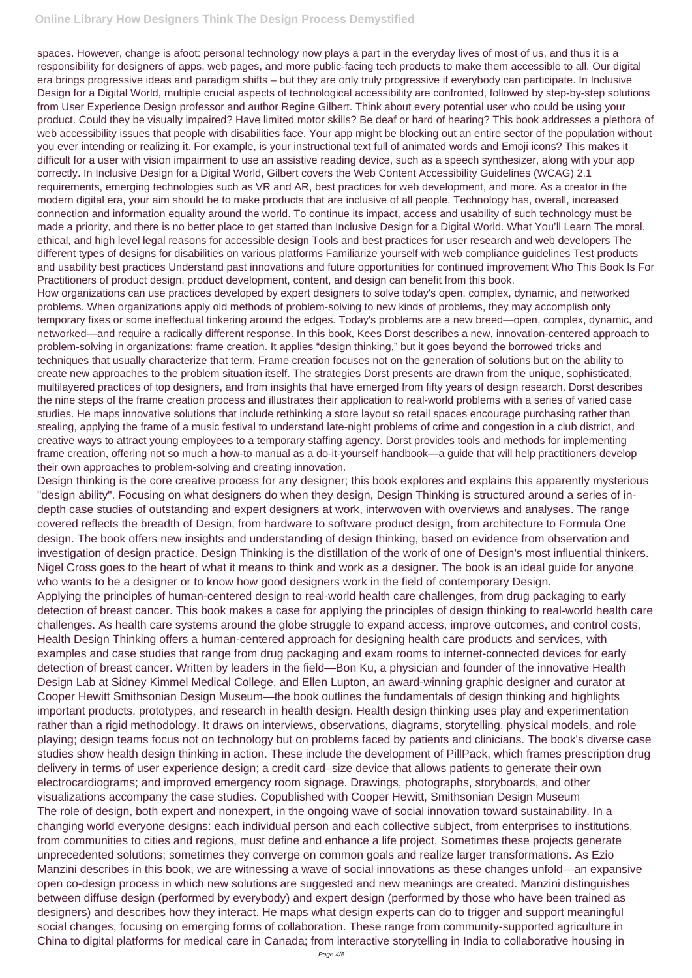## **Online Library How Designers Think The Design Process Demystified**

spaces. However, change is afoot: personal technology now plays a part in the everyday lives of most of us, and thus it is a responsibility for designers of apps, web pages, and more public-facing tech products to make them accessible to all. Our digital era brings progressive ideas and paradigm shifts – but they are only truly progressive if everybody can participate. In Inclusive Design for a Digital World, multiple crucial aspects of technological accessibility are confronted, followed by step-by-step solutions from User Experience Design professor and author Regine Gilbert. Think about every potential user who could be using your product. Could they be visually impaired? Have limited motor skills? Be deaf or hard of hearing? This book addresses a plethora of web accessibility issues that people with disabilities face. Your app might be blocking out an entire sector of the population without you ever intending or realizing it. For example, is your instructional text full of animated words and Emoji icons? This makes it difficult for a user with vision impairment to use an assistive reading device, such as a speech synthesizer, along with your app correctly. In Inclusive Design for a Digital World, Gilbert covers the Web Content Accessibility Guidelines (WCAG) 2.1 requirements, emerging technologies such as VR and AR, best practices for web development, and more. As a creator in the modern digital era, your aim should be to make products that are inclusive of all people. Technology has, overall, increased connection and information equality around the world. To continue its impact, access and usability of such technology must be made a priority, and there is no better place to get started than Inclusive Design for a Digital World. What You'll Learn The moral, ethical, and high level legal reasons for accessible design Tools and best practices for user research and web developers The different types of designs for disabilities on various platforms Familiarize yourself with web compliance guidelines Test products and usability best practices Understand past innovations and future opportunities for continued improvement Who This Book Is For Practitioners of product design, product development, content, and design can benefit from this book.

How organizations can use practices developed by expert designers to solve today's open, complex, dynamic, and networked problems. When organizations apply old methods of problem-solving to new kinds of problems, they may accomplish only temporary fixes or some ineffectual tinkering around the edges. Today's problems are a new breed—open, complex, dynamic, and networked—and require a radically different response. In this book, Kees Dorst describes a new, innovation-centered approach to problem-solving in organizations: frame creation. It applies "design thinking," but it goes beyond the borrowed tricks and techniques that usually characterize that term. Frame creation focuses not on the generation of solutions but on the ability to create new approaches to the problem situation itself. The strategies Dorst presents are drawn from the unique, sophisticated, multilayered practices of top designers, and from insights that have emerged from fifty years of design research. Dorst describes the nine steps of the frame creation process and illustrates their application to real-world problems with a series of varied case studies. He maps innovative solutions that include rethinking a store layout so retail spaces encourage purchasing rather than stealing, applying the frame of a music festival to understand late-night problems of crime and congestion in a club district, and creative ways to attract young employees to a temporary staffing agency. Dorst provides tools and methods for implementing frame creation, offering not so much a how-to manual as a do-it-yourself handbook—a guide that will help practitioners develop their own approaches to problem-solving and creating innovation.

Design thinking is the core creative process for any designer; this book explores and explains this apparently mysterious "design ability". Focusing on what designers do when they design, Design Thinking is structured around a series of indepth case studies of outstanding and expert designers at work, interwoven with overviews and analyses. The range covered reflects the breadth of Design, from hardware to software product design, from architecture to Formula One design. The book offers new insights and understanding of design thinking, based on evidence from observation and investigation of design practice. Design Thinking is the distillation of the work of one of Design's most influential thinkers. Nigel Cross goes to the heart of what it means to think and work as a designer. The book is an ideal guide for anyone who wants to be a designer or to know how good designers work in the field of contemporary Design.

Applying the principles of human-centered design to real-world health care challenges, from drug packaging to early detection of breast cancer. This book makes a case for applying the principles of design thinking to real-world health care challenges. As health care systems around the globe struggle to expand access, improve outcomes, and control costs, Health Design Thinking offers a human-centered approach for designing health care products and services, with examples and case studies that range from drug packaging and exam rooms to internet-connected devices for early detection of breast cancer. Written by leaders in the field—Bon Ku, a physician and founder of the innovative Health Design Lab at Sidney Kimmel Medical College, and Ellen Lupton, an award-winning graphic designer and curator at Cooper Hewitt Smithsonian Design Museum—the book outlines the fundamentals of design thinking and highlights important products, prototypes, and research in health design. Health design thinking uses play and experimentation rather than a rigid methodology. It draws on interviews, observations, diagrams, storytelling, physical models, and role playing; design teams focus not on technology but on problems faced by patients and clinicians. The book's diverse case studies show health design thinking in action. These include the development of PillPack, which frames prescription drug delivery in terms of user experience design; a credit card–size device that allows patients to generate their own electrocardiograms; and improved emergency room signage. Drawings, photographs, storyboards, and other visualizations accompany the case studies. Copublished with Cooper Hewitt, Smithsonian Design Museum The role of design, both expert and nonexpert, in the ongoing wave of social innovation toward sustainability. In a changing world everyone designs: each individual person and each collective subject, from enterprises to institutions, from communities to cities and regions, must define and enhance a life project. Sometimes these projects generate unprecedented solutions; sometimes they converge on common goals and realize larger transformations. As Ezio Manzini describes in this book, we are witnessing a wave of social innovations as these changes unfold—an expansive open co-design process in which new solutions are suggested and new meanings are created. Manzini distinguishes between diffuse design (performed by everybody) and expert design (performed by those who have been trained as designers) and describes how they interact. He maps what design experts can do to trigger and support meaningful social changes, focusing on emerging forms of collaboration. These range from community-supported agriculture in China to digital platforms for medical care in Canada; from interactive storytelling in India to collaborative housing in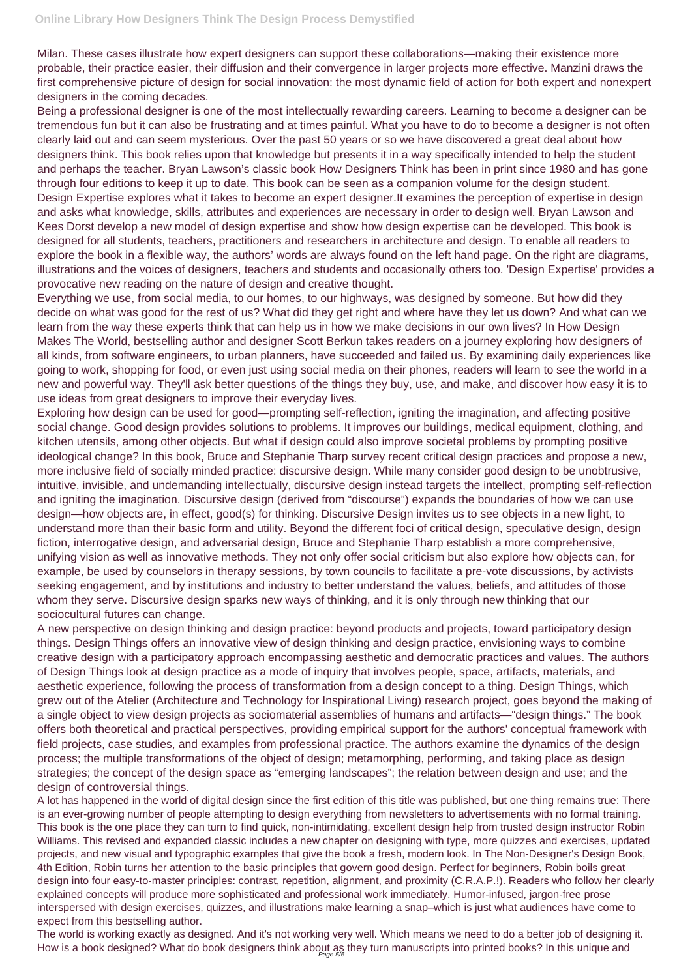Milan. These cases illustrate how expert designers can support these collaborations—making their existence more probable, their practice easier, their diffusion and their convergence in larger projects more effective. Manzini draws the first comprehensive picture of design for social innovation: the most dynamic field of action for both expert and nonexpert designers in the coming decades.

Being a professional designer is one of the most intellectually rewarding careers. Learning to become a designer can be tremendous fun but it can also be frustrating and at times painful. What you have to do to become a designer is not often clearly laid out and can seem mysterious. Over the past 50 years or so we have discovered a great deal about how designers think. This book relies upon that knowledge but presents it in a way specifically intended to help the student and perhaps the teacher. Bryan Lawson's classic book How Designers Think has been in print since 1980 and has gone through four editions to keep it up to date. This book can be seen as a companion volume for the design student. Design Expertise explores what it takes to become an expert designer.It examines the perception of expertise in design and asks what knowledge, skills, attributes and experiences are necessary in order to design well. Bryan Lawson and Kees Dorst develop a new model of design expertise and show how design expertise can be developed. This book is designed for all students, teachers, practitioners and researchers in architecture and design. To enable all readers to explore the book in a flexible way, the authors' words are always found on the left hand page. On the right are diagrams, illustrations and the voices of designers, teachers and students and occasionally others too. 'Design Expertise' provides a provocative new reading on the nature of design and creative thought.

Everything we use, from social media, to our homes, to our highways, was designed by someone. But how did they decide on what was good for the rest of us? What did they get right and where have they let us down? And what can we learn from the way these experts think that can help us in how we make decisions in our own lives? In How Design Makes The World, bestselling author and designer Scott Berkun takes readers on a journey exploring how designers of all kinds, from software engineers, to urban planners, have succeeded and failed us. By examining daily experiences like going to work, shopping for food, or even just using social media on their phones, readers will learn to see the world in a new and powerful way. They'll ask better questions of the things they buy, use, and make, and discover how easy it is to use ideas from great designers to improve their everyday lives.

The world is working exactly as designed. And it's not working very well. Which means we need to do a better job of designing it. How is a book designed? What do book designers think about as they turn manuscripts into printed books? In this unique and

Exploring how design can be used for good—prompting self-reflection, igniting the imagination, and affecting positive social change. Good design provides solutions to problems. It improves our buildings, medical equipment, clothing, and kitchen utensils, among other objects. But what if design could also improve societal problems by prompting positive ideological change? In this book, Bruce and Stephanie Tharp survey recent critical design practices and propose a new, more inclusive field of socially minded practice: discursive design. While many consider good design to be unobtrusive, intuitive, invisible, and undemanding intellectually, discursive design instead targets the intellect, prompting self-reflection and igniting the imagination. Discursive design (derived from "discourse") expands the boundaries of how we can use design—how objects are, in effect, good(s) for thinking. Discursive Design invites us to see objects in a new light, to understand more than their basic form and utility. Beyond the different foci of critical design, speculative design, design fiction, interrogative design, and adversarial design, Bruce and Stephanie Tharp establish a more comprehensive, unifying vision as well as innovative methods. They not only offer social criticism but also explore how objects can, for example, be used by counselors in therapy sessions, by town councils to facilitate a pre-vote discussions, by activists seeking engagement, and by institutions and industry to better understand the values, beliefs, and attitudes of those whom they serve. Discursive design sparks new ways of thinking, and it is only through new thinking that our sociocultural futures can change.

A new perspective on design thinking and design practice: beyond products and projects, toward participatory design things. Design Things offers an innovative view of design thinking and design practice, envisioning ways to combine creative design with a participatory approach encompassing aesthetic and democratic practices and values. The authors of Design Things look at design practice as a mode of inquiry that involves people, space, artifacts, materials, and aesthetic experience, following the process of transformation from a design concept to a thing. Design Things, which grew out of the Atelier (Architecture and Technology for Inspirational Living) research project, goes beyond the making of a single object to view design projects as sociomaterial assemblies of humans and artifacts—"design things." The book offers both theoretical and practical perspectives, providing empirical support for the authors' conceptual framework with

field projects, case studies, and examples from professional practice. The authors examine the dynamics of the design process; the multiple transformations of the object of design; metamorphing, performing, and taking place as design strategies; the concept of the design space as "emerging landscapes"; the relation between design and use; and the design of controversial things.

A lot has happened in the world of digital design since the first edition of this title was published, but one thing remains true: There is an ever-growing number of people attempting to design everything from newsletters to advertisements with no formal training. This book is the one place they can turn to find quick, non-intimidating, excellent design help from trusted design instructor Robin Williams. This revised and expanded classic includes a new chapter on designing with type, more quizzes and exercises, updated projects, and new visual and typographic examples that give the book a fresh, modern look. In The Non-Designer's Design Book, 4th Edition, Robin turns her attention to the basic principles that govern good design. Perfect for beginners, Robin boils great design into four easy-to-master principles: contrast, repetition, alignment, and proximity (C.R.A.P.!). Readers who follow her clearly explained concepts will produce more sophisticated and professional work immediately. Humor-infused, jargon-free prose interspersed with design exercises, quizzes, and illustrations make learning a snap–which is just what audiences have come to expect from this bestselling author.